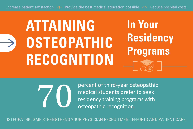### **ATTAINING OSTEOPATHIC RECOGNITION In Your Residency Programs**



Percent of third-year osteopathic<br>medical students prefer to seek<br>residency training programs with<br>osteopathic recognition. medical students prefer to seek residency training programs with osteopathic recognition.

OSTEOPATHIC GME STRENGTHENS YOUR PHYSICIAN RECRUITMENT EFFORTS AND PATIENT CARE.